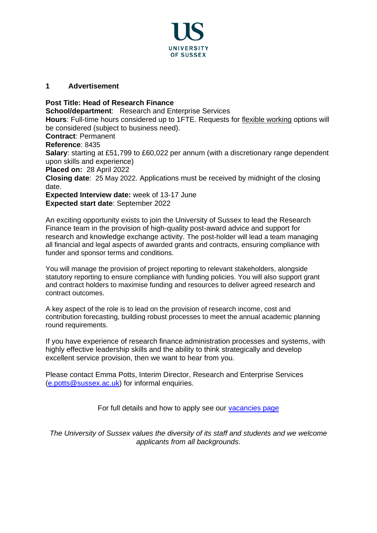

## **1 Advertisement**

**Post Title: Head of Research Finance School/department:** Research and Enterprise Services **Hours**: Full-time hours considered up to 1FTE. Requests for [flexible working](http://www.sussex.ac.uk/humanresources/personnel/flexible-working) options will be considered (subject to business need). **Contract**: Permanent **Reference**: 8435 **Salary**: starting at £51,799 to £60,022 per annum (with a discretionary range dependent upon skills and experience) **Placed on:** 28 April 2022 **Closing date**: 25 May 2022. Applications must be received by midnight of the closing date. **Expected Interview date:** week of 13-17 June **Expected start date**: September 2022

An exciting opportunity exists to join the University of Sussex to lead the Research Finance team in the provision of high-quality post-award advice and support for research and knowledge exchange activity. The post-holder will lead a team managing all financial and legal aspects of awarded grants and contracts, ensuring compliance with funder and sponsor terms and conditions.

You will manage the provision of project reporting to relevant stakeholders, alongside statutory reporting to ensure compliance with funding policies. You will also support grant and contract holders to maximise funding and resources to deliver agreed research and contract outcomes.

A key aspect of the role is to lead on the provision of research income, cost and contribution forecasting, building robust processes to meet the annual academic planning round requirements.

If you have experience of research finance administration processes and systems, with highly effective leadership skills and the ability to think strategically and develop excellent service provision, then we want to hear from you.

Please contact Emma Potts, Interim Director, Research and Enterprise Services [\(e.potts@sussex.ac.uk\)](mailto:e.potts@sussex.ac.uk) for informal enquiries.

For full details and how to apply see our [vacancies page](http://www.sussex.ac.uk/about/jobs)

*The University of Sussex values the diversity of its staff and students and we welcome applicants from all backgrounds.*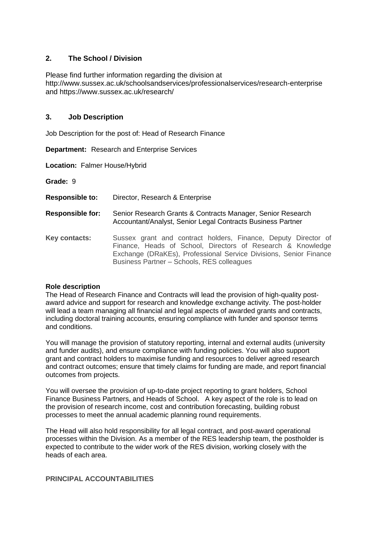# **2. The School / Division**

Please find further information regarding the division at http://www.sussex.ac.uk/schoolsandservices/professionalservices/research-enterprise and https://www.sussex.ac.uk/research/

### **3. Job Description**

Job Description for the post of: Head of Research Finance

**Department:** Research and Enterprise Services

**Location:** Falmer House/Hybrid

**Grade:** 9

**Responsible to:** Director, Research & Enterprise

**Responsible for:** Senior Research Grants & Contracts Manager, Senior Research Accountant/Analyst, Senior Legal Contracts Business Partner

**Key contacts:** Sussex grant and contract holders, Finance, Deputy Director of Finance, Heads of School, Directors of Research & Knowledge Exchange (DRaKEs), Professional Service Divisions, Senior Finance Business Partner – Schools, RES colleagues

### **Role description**

The Head of Research Finance and Contracts will lead the provision of high-quality postaward advice and support for research and knowledge exchange activity. The post-holder will lead a team managing all financial and legal aspects of awarded grants and contracts, including doctoral training accounts, ensuring compliance with funder and sponsor terms and conditions.

You will manage the provision of statutory reporting, internal and external audits (university and funder audits), and ensure compliance with funding policies. You will also support grant and contract holders to maximise funding and resources to deliver agreed research and contract outcomes; ensure that timely claims for funding are made, and report financial outcomes from projects.

You will oversee the provision of up-to-date project reporting to grant holders, School Finance Business Partners, and Heads of School. A key aspect of the role is to lead on the provision of research income, cost and contribution forecasting, building robust processes to meet the annual academic planning round requirements.

The Head will also hold responsibility for all legal contract, and post-award operational processes within the Division. As a member of the RES leadership team, the postholder is expected to contribute to the wider work of the RES division, working closely with the heads of each area.

### **PRINCIPAL ACCOUNTABILITIES**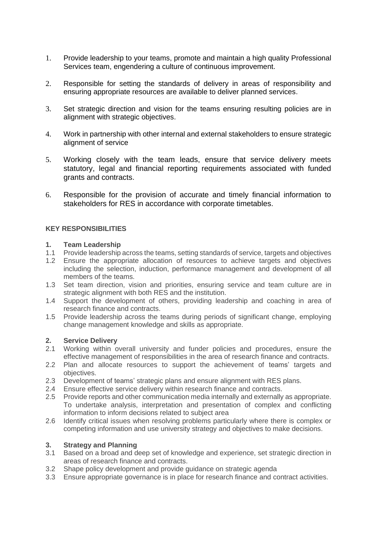- 1. Provide leadership to your teams, promote and maintain a high quality Professional Services team, engendering a culture of continuous improvement.
- 2. Responsible for setting the standards of delivery in areas of responsibility and ensuring appropriate resources are available to deliver planned services.
- 3. Set strategic direction and vision for the teams ensuring resulting policies are in alignment with strategic objectives.
- 4. Work in partnership with other internal and external stakeholders to ensure strategic alignment of service
- 5. Working closely with the team leads, ensure that service delivery meets statutory, legal and financial reporting requirements associated with funded grants and contracts.
- 6. Responsible for the provision of accurate and timely financial information to stakeholders for RES in accordance with corporate timetables.

### **KEY RESPONSIBILITIES**

#### **1. Team Leadership**

- 1.1 Provide leadership across the teams, setting standards of service, targets and objectives
- 1.2 Ensure the appropriate allocation of resources to achieve targets and objectives including the selection, induction, performance management and development of all members of the teams.
- 1.3 Set team direction, vision and priorities, ensuring service and team culture are in strategic alignment with both RES and the institution.
- 1.4 Support the development of others, providing leadership and coaching in area of research finance and contracts.
- 1.5 Provide leadership across the teams during periods of significant change, employing change management knowledge and skills as appropriate.

### **2. Service Delivery**

- 2.1 Working within overall university and funder policies and procedures, ensure the effective management of responsibilities in the area of research finance and contracts.
- 2.2 Plan and allocate resources to support the achievement of teams' targets and objectives.
- 2.3 Development of teams' strategic plans and ensure alignment with RES plans.
- 2.4 Ensure effective service delivery within research finance and contracts.
- 2.5 Provide reports and other communication media internally and externally as appropriate. To undertake analysis, interpretation and presentation of complex and conflicting information to inform decisions related to subject area
- 2.6 Identify critical issues when resolving problems particularly where there is complex or competing information and use university strategy and objectives to make decisions.

### **3. Strategy and Planning**

- 3.1 Based on a broad and deep set of knowledge and experience, set strategic direction in areas of research finance and contracts.
- 3.2 Shape policy development and provide guidance on strategic agenda
- 3.3 Ensure appropriate governance is in place for research finance and contract activities.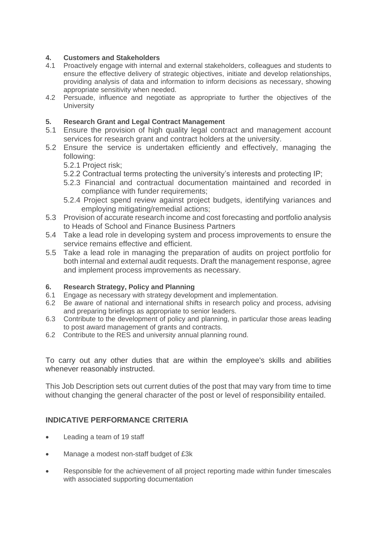# **4. Customers and Stakeholders**

- 4.1 Proactively engage with internal and external stakeholders, colleagues and students to ensure the effective delivery of strategic objectives, initiate and develop relationships, providing analysis of data and information to inform decisions as necessary, showing appropriate sensitivity when needed.
- 4.2 Persuade, influence and negotiate as appropriate to further the objectives of the **University**

# **5. Research Grant and Legal Contract Management**

- 5.1 Ensure the provision of high quality legal contract and management account services for research grant and contract holders at the university.
- 5.2 Ensure the service is undertaken efficiently and effectively, managing the following:
	- 5.2.1 Project risk;
	- 5.2.2 Contractual terms protecting the university's interests and protecting IP;
	- 5.2.3 Financial and contractual documentation maintained and recorded in compliance with funder requirements:
	- 5.2.4 Project spend review against project budgets, identifying variances and employing mitigating/remedial actions;
- 5.3 Provision of accurate research income and cost forecasting and portfolio analysis to Heads of School and Finance Business Partners
- 5.4 Take a lead role in developing system and process improvements to ensure the service remains effective and efficient.
- 5.5 Take a lead role in managing the preparation of audits on project portfolio for both internal and external audit requests. Draft the management response, agree and implement process improvements as necessary.

# **6. Research Strategy, Policy and Planning**

- 6.1 Engage as necessary with strategy development and implementation.
- 6.2 Be aware of national and international shifts in research policy and process, advising and preparing briefings as appropriate to senior leaders.
- 6.3 Contribute to the development of policy and planning, in particular those areas leading to post award management of grants and contracts.
- 6.2 Contribute to the RES and university annual planning round.

To carry out any other duties that are within the employee's skills and abilities whenever reasonably instructed.

This Job Description sets out current duties of the post that may vary from time to time without changing the general character of the post or level of responsibility entailed.

# **INDICATIVE PERFORMANCE CRITERIA**

- Leading a team of 19 staff
- Manage a modest non-staff budget of £3k
- Responsible for the achievement of all project reporting made within funder timescales with associated supporting documentation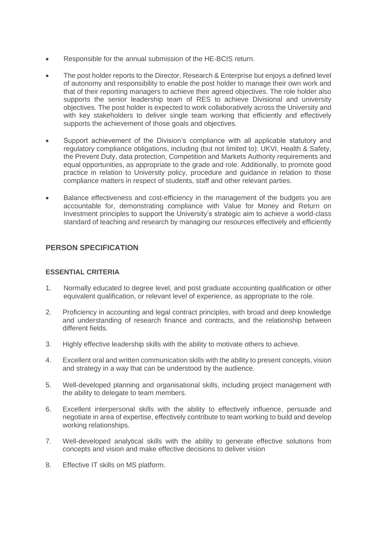- Responsible for the annual submission of the HE-BCIS return.
- The post holder reports to the Director, Research & Enterprise but enjoys a defined level of autonomy and responsibility to enable the post holder to manage their own work and that of their reporting managers to achieve their agreed objectives. The role holder also supports the senior leadership team of RES to achieve Divisional and university objectives. The post holder is expected to work collaboratively across the University and with key stakeholders to deliver single team working that efficiently and effectively supports the achievement of those goals and objectives.
- Support achievement of the Division's compliance with all applicable statutory and regulatory compliance obligations, including (but not limited to): UKVI, Health & Safety, the Prevent Duty, data protection, Competition and Markets Authority requirements and equal opportunities, as appropriate to the grade and role. Additionally, to promote good practice in relation to University policy, procedure and guidance in relation to those compliance matters in respect of students, staff and other relevant parties.
- Balance effectiveness and cost-efficiency in the management of the budgets you are accountable for, demonstrating compliance with Value for Money and Return on Investment principles to support the University's strategic aim to achieve a world-class standard of teaching and research by managing our resources effectively and efficiently

# **PERSON SPECIFICATION**

### **ESSENTIAL CRITERIA**

- 1. Normally educated to degree level, and post graduate accounting qualification or other equivalent qualification, or relevant level of experience, as appropriate to the role.
- 2. Proficiency in accounting and legal contract principles, with broad and deep knowledge and understanding of research finance and contracts, and the relationship between different fields.
- 3. Highly effective leadership skills with the ability to motivate others to achieve.
- 4. Excellent oral and written communication skills with the ability to present concepts, vision and strategy in a way that can be understood by the audience.
- 5. Well-developed planning and organisational skills, including project management with the ability to delegate to team members.
- 6. Excellent interpersonal skills with the ability to effectively influence, persuade and negotiate in area of expertise, effectively contribute to team working to build and develop working relationships.
- 7. Well-developed analytical skills with the ability to generate effective solutions from concepts and vision and make effective decisions to deliver vision
- 8. Effective IT skills on MS platform.